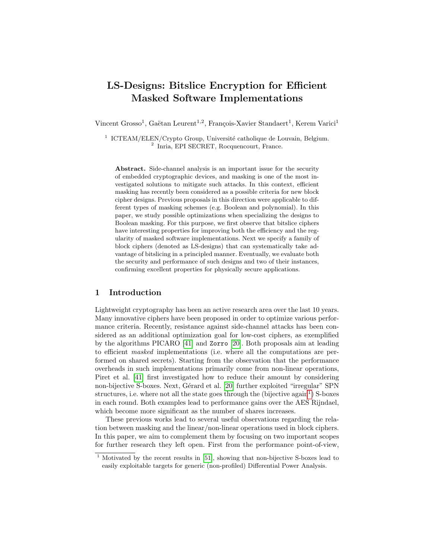# LS-Designs: Bitslice Encryption for Efficient Masked Software Implementations

Vincent Grosso<sup>1</sup>, Gaëtan Leurent<sup>1,2</sup>, François-Xavier Standaert<sup>1</sup>, Kerem Varici<sup>1</sup>

<sup>1</sup> ICTEAM/ELEN/Crypto Group, Université catholique de Louvain, Belgium. 2 Inria, EPI SECRET, Rocquencourt, France.

Abstract. Side-channel analysis is an important issue for the security of embedded cryptographic devices, and masking is one of the most investigated solutions to mitigate such attacks. In this context, efficient masking has recently been considered as a possible criteria for new block cipher designs. Previous proposals in this direction were applicable to different types of masking schemes (e.g. Boolean and polynomial). In this paper, we study possible optimizations when specializing the designs to Boolean masking. For this purpose, we first observe that bitslice ciphers have interesting properties for improving both the efficiency and the regularity of masked software implementations. Next we specify a family of block ciphers (denoted as LS-designs) that can systematically take advantage of bitslicing in a principled manner. Eventually, we evaluate both the security and performance of such designs and two of their instances, confirming excellent properties for physically secure applications.

## 1 Introduction

Lightweight cryptography has been an active research area over the last 10 years. Many innovative ciphers have been proposed in order to optimize various performance criteria. Recently, resistance against side-channel attacks has been considered as an additional optimization goal for low-cost ciphers, as exemplified by the algorithms PICARO [\[41\]](#page-17-0) and Zorro [\[20\]](#page-16-0). Both proposals aim at leading to efficient masked implementations (i.e. where all the computations are performed on shared secrets). Starting from the observation that the performance overheads in such implementations primarily come from non-linear operations, Piret et al. [\[41\]](#page-17-0) first investigated how to reduce their amount by considering non-bijective S-boxes. Next, Gérard et al. [\[20\]](#page-16-0) further exploited "irregular" SPN structures, i.e. where not all the state goes through the (bijective  $\alpha$ gain<sup>[1](#page-0-0)</sup>) S-boxes in each round. Both examples lead to performance gains over the AES Rijndael, which become more significant as the number of shares increases.

These previous works lead to several useful observations regarding the relation between masking and the linear/non-linear operations used in block ciphers. In this paper, we aim to complement them by focusing on two important scopes for further research they left open. First from the performance point-of-view,

<span id="page-0-0"></span><sup>&</sup>lt;sup>1</sup> Motivated by the recent results in [\[51\]](#page-18-0), showing that non-bijective S-boxes lead to easily exploitable targets for generic (non-profiled) Differential Power Analysis.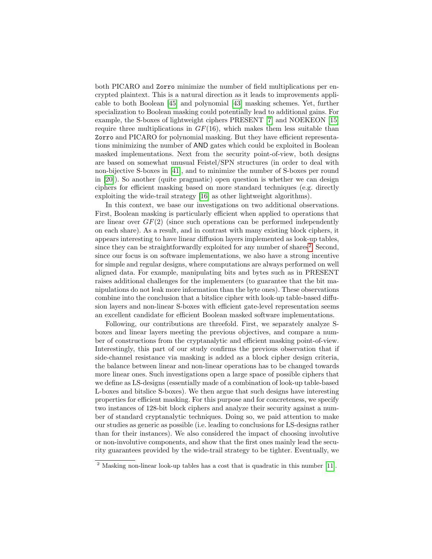both PICARO and Zorro minimize the number of field multiplications per encrypted plaintext. This is a natural direction as it leads to improvements applicable to both Boolean [\[45\]](#page-18-1) and polynomial [\[43\]](#page-18-2) masking schemes. Yet, further specialization to Boolean masking could potentially lead to additional gains. For example, the S-boxes of lightweight ciphers PRESENT [\[7\]](#page-16-1) and NOEKEON [\[15\]](#page-16-2) require three multiplications in  $GF(16)$ , which makes them less suitable than Zorro and PICARO for polynomial masking. But they have efficient representations minimizing the number of AND gates which could be exploited in Boolean masked implementations. Next from the security point-of-view, both designs are based on somewhat unusual Feistel/SPN structures (in order to deal with non-bijective S-boxes in [\[41\]](#page-17-0), and to minimize the number of S-boxes per round in [\[20\]](#page-16-0)). So another (quite pragmatic) open question is whether we can design ciphers for efficient masking based on more standard techniques (e.g. directly exploiting the wide-trail strategy [\[16\]](#page-16-3) as other lightweight algorithms).

In this context, we base our investigations on two additional observations. First, Boolean masking is particularly efficient when applied to operations that are linear over  $GF(2)$  (since such operations can be performed independently on each share). As a result, and in contrast with many existing block ciphers, it appears interesting to have linear diffusion layers implemented as look-up tables, since they can be straightforwardly exploited for any number of shares<sup>[2](#page-1-0)</sup>. Second, since our focus is on software implementations, we also have a strong incentive for simple and regular designs, where computations are always performed on well aligned data. For example, manipulating bits and bytes such as in PRESENT raises additional challenges for the implementers (to guarantee that the bit manipulations do not leak more information than the byte ones). These observations combine into the conclusion that a bitslice cipher with look-up table-based diffusion layers and non-linear S-boxes with efficient gate-level representation seems an excellent candidate for efficient Boolean masked software implementations.

Following, our contributions are threefold. First, we separately analyze Sboxes and linear layers meeting the previous objectives, and compare a number of constructions from the cryptanalytic and efficient masking point-of-view. Interestingly, this part of our study confirms the previous observation that if side-channel resistance via masking is added as a block cipher design criteria, the balance between linear and non-linear operations has to be changed towards more linear ones. Such investigations open a large space of possible ciphers that we define as LS-designs (essentially made of a combination of look-up table-based L-boxes and bitslice S-boxes). We then argue that such designs have interesting properties for efficient masking. For this purpose and for concreteness, we specify two instances of 128-bit block ciphers and analyze their security against a number of standard cryptanalytic techniques. Doing so, we paid attention to make our studies as generic as possible (i.e. leading to conclusions for LS-designs rather than for their instances). We also considered the impact of choosing involutive or non-involutive components, and show that the first ones mainly lead the security guarantees provided by the wide-trail strategy to be tighter. Eventually, we

<span id="page-1-0"></span> $2$  Masking non-linear look-up tables has a cost that is quadratic in this number [\[11\]](#page-16-4).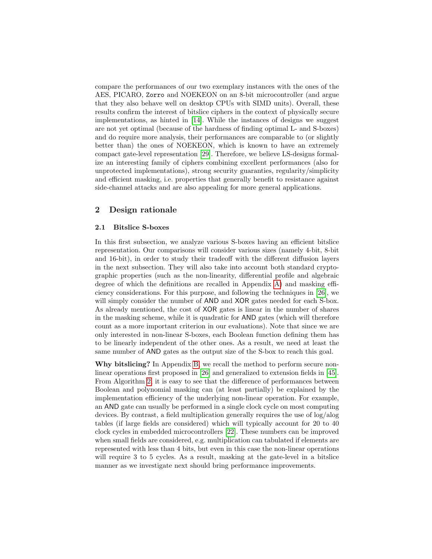compare the performances of our two exemplary instances with the ones of the AES, PICARO, Zorro and NOEKEON on an 8-bit microcontroller (and argue that they also behave well on desktop CPUs with SIMD units). Overall, these results confirm the interest of bitslice ciphers in the context of physically secure implementations, as hinted in [\[14\]](#page-16-5). While the instances of designs we suggest are not yet optimal (because of the hardness of finding optimal L- and S-boxes) and do require more analysis, their performances are comparable to (or slightly better than) the ones of NOEKEON, which is known to have an extremely compact gate-level representation [\[29\]](#page-17-1). Therefore, we believe LS-designs formalize an interesting family of ciphers combining excellent performances (also for unprotected implementations), strong security guaranties, regularity/simplicity and efficient masking, i.e. properties that generally benefit to resistance against side-channel attacks and are also appealing for more general applications.

# 2 Design rationale

#### 2.1 Bitslice S-boxes

In this first subsection, we analyze various S-boxes having an efficient bitslice representation. Our comparisons will consider various sizes (namely 4-bit, 8-bit and 16-bit), in order to study their tradeoff with the different diffusion layers in the next subsection. They will also take into account both standard cryptographic properties (such as the non-linearity, differential profile and algebraic degree of which the definitions are recalled in Appendix [A\)](#page-18-3) and masking efficiency considerations. For this purpose, and following the techniques in [\[26\]](#page-17-2), we will simply consider the number of AND and XOR gates needed for each S-box. As already mentioned, the cost of XOR gates is linear in the number of shares in the masking scheme, while it is quadratic for AND gates (which will therefore count as a more important criterion in our evaluations). Note that since we are only interested in non-linear S-boxes, each Boolean function defining them has to be linearly independent of the other ones. As a result, we need at least the same number of AND gates as the output size of the S-box to reach this goal.

Why bitslicing? In Appendix [B,](#page-19-0) we recall the method to perform secure nonlinear operations first proposed in [\[26\]](#page-17-2) and generalized to extension fields in [\[45\]](#page-18-1). From Algorithm [2,](#page-19-1) it is easy to see that the difference of performances between Boolean and polynomial masking can (at least partially) be explained by the implementation efficiency of the underlying non-linear operation. For example, an AND gate can usually be performed in a single clock cycle on most computing devices. By contrast, a field multiplication generally requires the use of log/alog tables (if large fields are considered) which will typically account for 20 to 40 clock cycles in embedded microcontrollers [\[22\]](#page-16-6). These numbers can be improved when small fields are considered, e.g. multiplication can tabulated if elements are represented with less than 4 bits, but even in this case the non-linear operations will require 3 to 5 cycles. As a result, masking at the gate-level in a bitslice manner as we investigate next should bring performance improvements.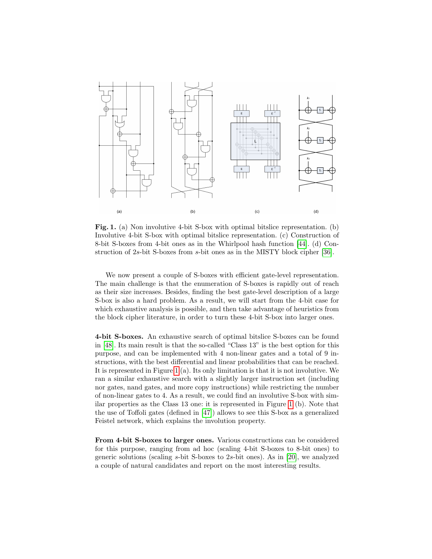

<span id="page-3-0"></span>Fig. 1. (a) Non involutive 4-bit S-box with optimal bitslice representation. (b) Involutive 4-bit S-box with optimal bitslice representation. (c) Construction of 8-bit S-boxes from 4-bit ones as in the Whirlpool hash function [\[44\]](#page-18-4). (d) Construction of 2s-bit S-boxes from s-bit ones as in the MISTY block cipher [\[36\]](#page-17-3).

We now present a couple of S-boxes with efficient gate-level representation. The main challenge is that the enumeration of S-boxes is rapidly out of reach as their size increases. Besides, finding the best gate-level description of a large S-box is also a hard problem. As a result, we will start from the 4-bit case for which exhaustive analysis is possible, and then take advantage of heuristics from the block cipher literature, in order to turn these 4-bit S-box into larger ones.

4-bit S-boxes. An exhaustive search of optimal bitslice S-boxes can be found in [\[48\]](#page-18-5). Its main result is that the so-called "Class 13" is the best option for this purpose, and can be implemented with 4 non-linear gates and a total of 9 instructions, with the best differential and linear probabilities that can be reached. It is represented in Figure [1](#page-3-0) (a). Its only limitation is that it is not involutive. We ran a similar exhaustive search with a slightly larger instruction set (including nor gates, nand gates, and more copy instructions) while restricting the number of non-linear gates to 4. As a result, we could find an involutive S-box with similar properties as the Class 13 one: it is represented in Figure [1](#page-3-0) (b). Note that the use of Toffoli gates (defined in [\[47\]](#page-18-6)) allows to see this S-box as a generalized Feistel network, which explains the involution property.

From 4-bit S-boxes to larger ones. Various constructions can be considered for this purpose, ranging from ad hoc (scaling 4-bit S-boxes to 8-bit ones) to generic solutions (scaling s-bit S-boxes to 2s-bit ones). As in [\[20\]](#page-16-0), we analyzed a couple of natural candidates and report on the most interesting results.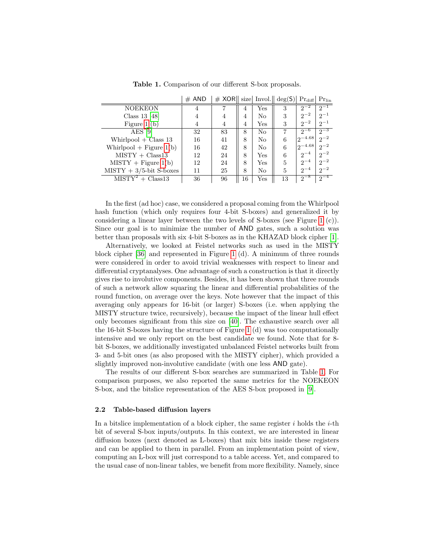|                            | $#$ AND | $\#$ XOR   size  Invol.   deg(S)  Pr <sub>diff</sub>   Pr <sub>lin</sub> |    |     |    |              |          |
|----------------------------|---------|--------------------------------------------------------------------------|----|-----|----|--------------|----------|
| NOEKEON                    | 4       |                                                                          | 4  | Yes | 3  | $2^{-2}$     | $2^{-1}$ |
| Class 13 $[48]$            | 4       | 4                                                                        | 4  | No  | 3  | $2^{-2}$     | $2^{-1}$ |
| Figure $1(b)$              | 4       | $\overline{4}$                                                           | 4  | Yes | 3  | $2^{-2}$     | $2^{-1}$ |
| $AES$ [9]                  | 32      | 83                                                                       | 8  | No  | 7  | $2^{-6}$     | $2^{-3}$ |
| Whirlpool $+$ Class 13     | 16      | 41                                                                       | 8  | No  | 6  | $12^{-4.68}$ | $2^{-2}$ |
| Whirlpool $+$ Figure 1(b)  | 16      | 42                                                                       | 8  | No  | 6  | $12^{-4.68}$ | $2^{-2}$ |
| $MISTY + Class13$          | 12      | 24                                                                       | 8  | Yes | 6  | $2^{-4}$     | $2^{-2}$ |
| $MISTY + Figure 1(b)$      | 12      | 24                                                                       | 8  | Yes | 5  | $2^{-4}$     | $2^{-2}$ |
| $MISTY + 3/5$ -bit S-boxes | 11      | 25                                                                       | 8  | No  | 5  | $2^{-4}$     | $2^{-2}$ |
| $MISTY^2 + Class13$        | 36      | 96                                                                       | 16 | Yes | 13 | $2^{-8}$     | $2^{-4}$ |

<span id="page-4-0"></span>Table 1. Comparison of our different S-box proposals.

In the first (ad hoc) case, we considered a proposal coming from the Whirlpool hash function (which only requires four 4-bit S-boxes) and generalized it by considering a linear layer between the two levels of S-boxes (see Figure [1](#page-3-0) (c)). Since our goal is to minimize the number of AND gates, such a solution was better than proposals with six 4-bit S-boxes as in the KHAZAD block cipher [\[1\]](#page-15-0).

Alternatively, we looked at Feistel networks such as used in the MISTY block cipher [\[36\]](#page-17-3) and represented in Figure [1](#page-3-0) (d). A minimum of three rounds were considered in order to avoid trivial weaknesses with respect to linear and differential cryptanalyses. One advantage of such a construction is that it directly gives rise to involutive components. Besides, it has been shown that three rounds of such a network allow squaring the linear and differential probabilities of the round function, on average over the keys. Note however that the impact of this averaging only appears for 16-bit (or larger) S-boxes (i.e. when applying the MISTY structure twice, recursively), because the impact of the linear hull effect only becomes significant from this size on [\[40\]](#page-17-4). The exhaustive search over all the 16-bit S-boxes having the structure of Figure [1](#page-3-0) (d) was too computationally intensive and we only report on the best candidate we found. Note that for 8 bit S-boxes, we additionally investigated unbalanced Feistel networks built from 3- and 5-bit ones (as also proposed with the MISTY cipher), which provided a slightly improved non-involutive candidate (with one less AND gate).

The results of our different S-box searches are summarized in Table [1.](#page-4-0) For comparison purposes, we also reported the same metrics for the NOEKEON S-box, and the bitslice representation of the AES S-box proposed in [\[9\]](#page-16-7).

#### <span id="page-4-1"></span>2.2 Table-based diffusion layers

In a bitslice implementation of a block cipher, the same register  $i$  holds the  $i$ -th bit of several S-box inputs/outputs. In this context, we are interested in linear diffusion boxes (next denoted as L-boxes) that mix bits inside these registers and can be applied to them in parallel. From an implementation point of view, computing an L-box will just correspond to a table access. Yet, and compared to the usual case of non-linear tables, we benefit from more flexibility. Namely, since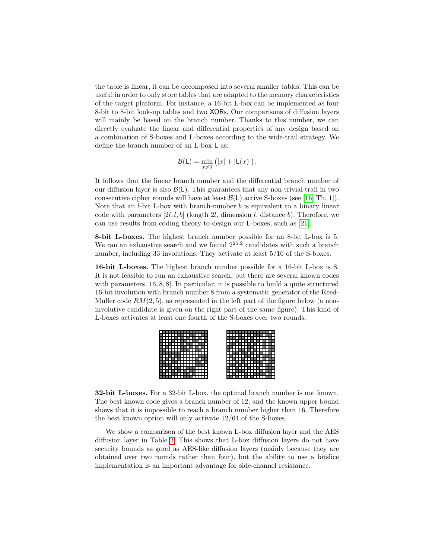the table is linear, it can be decomposed into several smaller tables. This can be useful in order to only store tables that are adapted to the memory characteristics of the target platform. For instance, a 16-bit L-box can be implemented as four 8-bit to 8-bit look-up tables and two XORs. Our comparisons of diffusion layers will mainly be based on the branch number. Thanks to this number, we can directly evaluate the linear and differential properties of any design based on a combination of S-boxes and L-boxes according to the wide-trail strategy. We define the branch number of an L-box L as:

$$
\mathcal{B}(\mathsf{L}) = \min_{x \neq 0} (|x| + |\mathsf{L}(x)|).
$$

It follows that the linear branch number and the differential branch number of our diffusion layer is also  $\mathcal{B}(L)$ . This guarantees that any non-trivial trail in two consecutive cipher rounds will have at least  $\mathcal{B}(L)$  active S-boxes (see [\[16,](#page-16-3) Th. 1]). Note that an  $l$ -bit L-box with branch-number  $b$  is equivalent to a binary linear code with parameters  $[2l, l, b]$  (length 2l, dimension l, distance b). Therefore, we can use results from coding theory to design our L-boxes, such as [\[21\]](#page-16-8).

8-bit L-boxes. The highest branch number possible for an 8-bit L-box is 5. We ran an exhaustive search and we found  $2^{25.2}$  candidates with such a branch number, including 33 involutions. They activate at least 5/16 of the S-boxes.

16-bit L-boxes. The highest branch number possible for a 16-bit L-box is 8. It is not feasible to run an exhaustive search, but there are several known codes with parameters [16, 8, 8]. In particular, it is possible to build a quite structured 16-bit involution with branch number 8 from a systematic generator of the Reed-Muller code  $RM(2, 5)$ , as represented in the left part of the figure below (a noninvolutive candidate is given on the right part of the same figure). This kind of L-boxes activates at least one fourth of the S-boxes over two rounds.

|  |  |  |  |  |   |  |  |  |  |  |  |  | ш |  |
|--|--|--|--|--|---|--|--|--|--|--|--|--|---|--|
|  |  |  |  |  |   |  |  |  |  |  |  |  | ш |  |
|  |  |  |  |  |   |  |  |  |  |  |  |  |   |  |
|  |  |  |  |  |   |  |  |  |  |  |  |  |   |  |
|  |  |  |  |  |   |  |  |  |  |  |  |  |   |  |
|  |  |  |  |  |   |  |  |  |  |  |  |  |   |  |
|  |  |  |  |  | ш |  |  |  |  |  |  |  |   |  |
|  |  |  |  |  |   |  |  |  |  |  |  |  |   |  |
|  |  |  |  |  |   |  |  |  |  |  |  |  |   |  |
|  |  |  |  |  |   |  |  |  |  |  |  |  |   |  |
|  |  |  |  |  | ٠ |  |  |  |  |  |  |  | ш |  |
|  |  |  |  |  |   |  |  |  |  |  |  |  |   |  |

32-bit L-boxes. For a 32-bit L-box, the optimal branch number is not known. The best known code gives a branch number of 12, and the known upper bound shows that it is impossible to reach a branch number higher than 16. Therefore the best known option will only activate 12/64 of the S-boxes.

We show a comparison of the best known L-box diffusion layer and the AES diffusion layer in Table [2.](#page-6-0) This shows that L-box diffusion layers do not have security bounds as good as AES-like diffusion layers (mainly because they are obtained over two rounds rather than four), but the ability to use a bitslice implementation is an important advantage for side-channel resistance.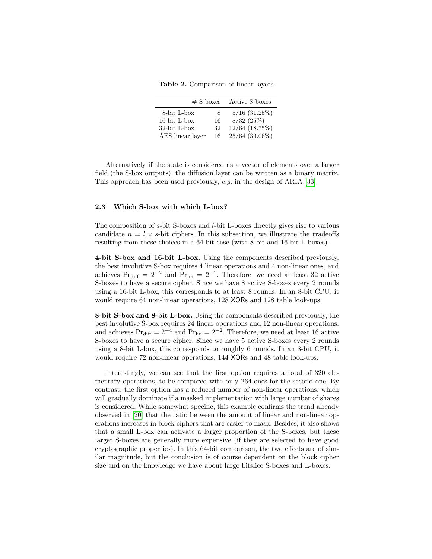<span id="page-6-0"></span>Table 2. Comparison of linear layers.

| $#$ S-boxes      |    | Active S-boxes     |
|------------------|----|--------------------|
| 8-bit L-box      | 8  | $5/16$ $(31.25\%)$ |
| $16$ -bit L-box  | 16 | $8/32$ (25%)       |
| $32$ -bit L-box  | 32 | 12/64 (18.75%)     |
| AES linear layer | 16 | 25/64 (39.06%)     |

Alternatively if the state is considered as a vector of elements over a larger field (the S-box outputs), the diffusion layer can be written as a binary matrix. This approach has been used previously, e.g. in the design of ARIA [\[33\]](#page-17-5).

#### 2.3 Which S-box with which L-box?

The composition of s-bit S-boxes and l-bit L-boxes directly gives rise to various candidate  $n = l \times s$ -bit ciphers. In this subsection, we illustrate the tradeoffs resulting from these choices in a 64-bit case (with 8-bit and 16-bit L-boxes).

4-bit S-box and 16-bit L-box. Using the components described previously, the best involutive S-box requires 4 linear operations and 4 non-linear ones, and achieves  $Pr_{diff} = 2^{-2}$  and  $Pr_{lin} = 2^{-1}$ . Therefore, we need at least 32 active S-boxes to have a secure cipher. Since we have 8 active S-boxes every 2 rounds using a 16-bit L-box, this corresponds to at least 8 rounds. In an 8-bit CPU, it would require 64 non-linear operations, 128 XORs and 128 table look-ups.

8-bit S-box and 8-bit L-box. Using the components described previously, the best involutive S-box requires 24 linear operations and 12 non-linear operations, and achieves  $Pr_{diff} = 2^{-4}$  and  $Pr_{lin} = 2^{-2}$ . Therefore, we need at least 16 active S-boxes to have a secure cipher. Since we have 5 active S-boxes every 2 rounds using a 8-bit L-box, this corresponds to roughly 6 rounds. In an 8-bit CPU, it would require 72 non-linear operations, 144 XORs and 48 table look-ups.

Interestingly, we can see that the first option requires a total of 320 elementary operations, to be compared with only 264 ones for the second one. By contrast, the first option has a reduced number of non-linear operations, which will gradually dominate if a masked implementation with large number of shares is considered. While somewhat specific, this example confirms the trend already observed in [\[20\]](#page-16-0) that the ratio between the amount of linear and non-linear operations increases in block ciphers that are easier to mask. Besides, it also shows that a small L-box can activate a larger proportion of the S-boxes, but these larger S-boxes are generally more expensive (if they are selected to have good cryptographic properties). In this 64-bit comparison, the two effects are of similar magnitude, but the conclusion is of course dependent on the block cipher size and on the knowledge we have about large bitslice S-boxes and L-boxes.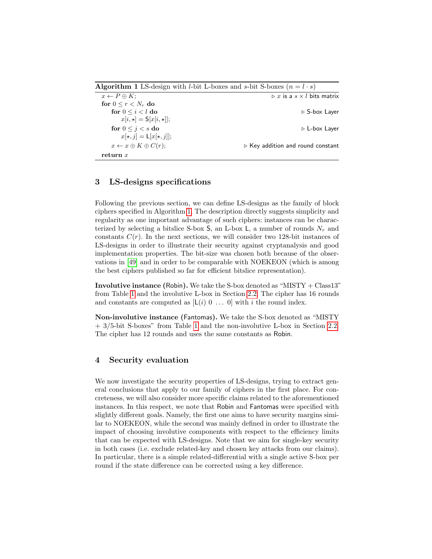<span id="page-7-0"></span>

**Algorithm 1** LS-design with *l*-bit L-boxes and *s*-bit S-boxes  $(n = l \cdot s)$ <br> $\overline{x \leftarrow P \oplus K};$  $\triangleright x$  is a  $s \times l$  bits matrix for  $0\leq r< N_r$  do for  $0 \le i \le l$  do  $\Box$   $\Box$  S-box Layer  $x[i, \star] = \mathsf{S}[x[i, \star]];$ for  $0 \leq j < s$  do  $\qquad \qquad \triangleright$  L-box Layer  $x[\star, j] = \mathsf{L}[x[\star, j]];$  $x \leftarrow x \oplus K \oplus C(r);$   $\triangleright$  Key addition and round constant return x

# <span id="page-7-1"></span>3 LS-designs specifications

Following the previous section, we can define LS-designs as the family of block ciphers specified in Algorithm [1.](#page-7-0) The description directly suggests simplicity and regularity as one important advantage of such ciphers: instances can be characterized by selecting a bitslice S-box  $S$ , an L-box  $L$ , a number of rounds  $N_r$  and constants  $C(r)$ . In the next sections, we will consider two 128-bit instances of LS-designs in order to illustrate their security against cryptanalysis and good implementation properties. The bit-size was chosen both because of the observations in [\[49\]](#page-18-7) and in order to be comparable with NOEKEON (which is among the best ciphers published so far for efficient bitslice representation).

Involutive instance (Robin). We take the S-box denoted as "MISTY + Class13" from Table [1](#page-4-0) and the involutive L-box in Section [2.2.](#page-4-1) The cipher has 16 rounds and constants are computed as  $[L(i) 0 ... 0]$  with i the round index.

Non-involutive instance (Fantomas). We take the S-box denoted as "MISTY + 3/5-bit S-boxes" from Table [1](#page-4-0) and the non-involutive L-box in Section [2.2.](#page-4-1) The cipher has 12 rounds and uses the same constants as Robin.

# 4 Security evaluation

We now investigate the security properties of LS-designs, trying to extract general conclusions that apply to our family of ciphers in the first place. For concreteness, we will also consider more specific claims related to the aforementioned instances. In this respect, we note that Robin and Fantomas were specified with slightly different goals. Namely, the first one aims to have security margins similar to NOEKEON, while the second was mainly defined in order to illustrate the impact of choosing involutive components with respect to the efficiency limits that can be expected with LS-designs. Note that we aim for single-key security in both cases (i.e. exclude related-key and chosen key attacks from our claims). In particular, there is a simple related-differential with a single active S-box per round if the state difference can be corrected using a key difference.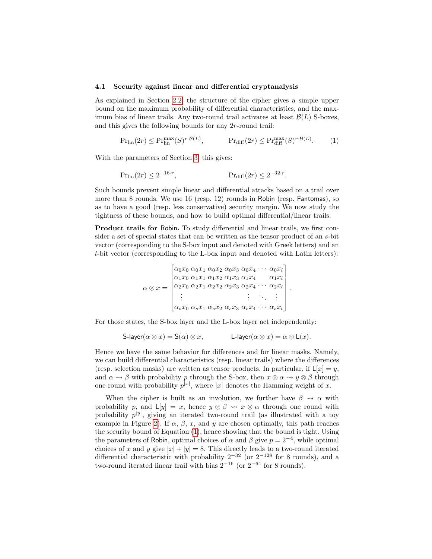#### <span id="page-8-1"></span>4.1 Security against linear and differential cryptanalysis

As explained in Section [2.2,](#page-4-1) the structure of the cipher gives a simple upper bound on the maximum probability of differential characteristics, and the maximum bias of linear trails. Any two-round trail activates at least  $\mathcal{B}(L)$  S-boxes, and this gives the following bounds for any 2r-round trail:

$$
\Pr_{\text{lin}}(2r) \le \Pr_{\text{lin}}^{\text{max}}(S)^{r \cdot \mathcal{B}(L)}, \qquad \Pr_{\text{diff}}(2r) \le \Pr_{\text{diff}}^{\text{max}}(S)^{r \cdot \mathcal{B}(L)}.
$$
 (1)

With the parameters of Section [3,](#page-7-1) this gives:

$$
Pr_{\text{lin}}(2r) \le 2^{-16\cdot r}, \qquad Pr_{\text{diff}}(2r) \le 2^{-32\cdot r}.
$$

Such bounds prevent simple linear and differential attacks based on a trail over more than 8 rounds. We use 16 (resp. 12) rounds in Robin (resp. Fantomas), so as to have a good (resp. less conservative) security margin. We now study the tightness of these bounds, and how to build optimal differential/linear trails.

Product trails for Robin. To study differential and linear trails, we first consider a set of special states that can be written as the tensor product of an s-bit vector (corresponding to the S-box input and denoted with Greek letters) and an l-bit vector (corresponding to the L-box input and denoted with Latin letters):

$$
\alpha \otimes x = \begin{bmatrix}\n\alpha_0 x_0 & \alpha_0 x_1 & \alpha_0 x_2 & \alpha_0 x_3 & \alpha_0 x_4 & \cdots & \alpha_0 x_l \\
\alpha_1 x_0 & \alpha_1 x_1 & \alpha_1 x_2 & \alpha_1 x_3 & \alpha_1 x_4 & \alpha_1 x_l \\
\alpha_2 x_0 & \alpha_2 x_1 & \alpha_2 x_2 & \alpha_2 x_3 & \alpha_2 x_4 & \cdots & \alpha_2 x_l \\
\vdots & \vdots & \vdots & \vdots & \vdots & \vdots \\
\alpha_s x_0 & \alpha_s x_1 & \alpha_s x_2 & \alpha_s x_3 & \alpha_s x_4 & \cdots & \alpha_s x_l\n\end{bmatrix}
$$

<span id="page-8-0"></span>.

For those states, the S-box layer and the L-box layer act independently:

$$
\mathsf{S\text{-}layer}(\alpha\otimes x)=\mathsf{S}(\alpha)\otimes x,\qquad \qquad \mathsf{L\text{-}layer}(\alpha\otimes x)=\alpha\otimes \mathsf{L}(x).
$$

Hence we have the same behavior for differences and for linear masks. Namely, we can build differential characteristics (resp. linear trails) where the differences (resp. selection masks) are written as tensor products. In particular, if  $L[x] = y$ , and  $\alpha \rightsquigarrow \beta$  with probability p through the S-box, then  $x \otimes \alpha \rightsquigarrow y \otimes \beta$  through one round with probability  $p^{|x|}$ , where |x| denotes the Hamming weight of x.

When the cipher is built as an involution, we further have  $\beta \rightsquigarrow \alpha$  with probability p, and  $L[y] = x$ , hence  $y \otimes \beta \leadsto x \otimes \alpha$  through one round with probability  $p^{|y|}$ , giving an iterated two-round trail (as illustrated with a toy example in Figure [2\)](#page-9-0). If  $\alpha$ ,  $\beta$ , x, and y are chosen optimally, this path reaches the security bound of Equation [\(1\)](#page-8-0), hence showing that the bound is tight. Using the parameters of Robin, optimal choices of  $\alpha$  and  $\beta$  give  $p = 2^{-4}$ , while optimal choices of x and y give  $|x| + |y| = 8$ . This directly leads to a two-round iterated differential characteristic with probability  $2^{-32}$  (or  $2^{-128}$  for 8 rounds), and a two-round iterated linear trail with bias  $2^{-16}$  (or  $2^{-64}$  for 8 rounds).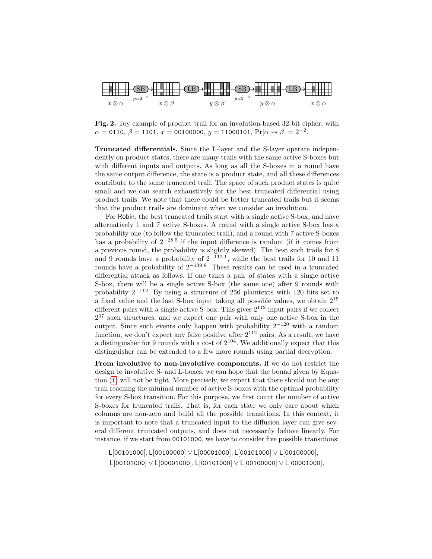

<span id="page-9-0"></span>Fig. 2. Toy example of product trail for an involution-based 32-bit cipher, with  $\alpha = 0110, \, \beta = 1101, \, x = 00100000, \, y = 11000101, \, \Pr[\alpha \leadsto \beta] = 2^{-2}.$ 

Truncated differentials. Since the L-layer and the S-layer operate independently on product states, there are many trails with the same active S-boxes but with different inputs and outputs. As long as all the S-boxes in a round have the same output difference, the state is a product state, and all these differences contribute to the same truncated trail. The space of such product states is quite small and we can search exhaustively for the best truncated differential using product trails. We note that there could be better truncated trails but it seems that the product trails are dominant when we consider an involution.

For Robin, the best truncated trails start with a single active S-box, and have alternatively 1 and 7 active S-boxes. A round with a single active S-box has a probability one (to follow the truncated trail), and a round with 7 active S-boxes has a probability of  $2^{-28.5}$  if the input difference is random (if it comes from a previous round, the probability is slightly skewed). The best such trails for 8 and 9 rounds have a probability of  $2^{-112.1}$ , while the best trails for 10 and 11 rounds have a probability of  $2^{-139.8}$ . These results can be used in a truncated differential attack as follows. If one takes a pair of states with a single active S-box, there will be a single active S-box (the same one) after 9 rounds with probability  $2^{-112}$ . By using a structure of 256 plaintexts with 120 bits set to a fixed value and the last S-box input taking all possible values, we obtain 2<sup>15</sup> different pairs with a single active S-box. This gives  $2^{112}$  input pairs if we collect 2 <sup>97</sup> such structures, and we expect one pair with only one active S-box in the output. Since such events only happen with probability  $2^{-120}$  with a random function, we don't expect any false positive after  $2^{112}$  pairs. As a result, we have a distinguisher for 9 rounds with a cost of  $2^{104}$ . We additionally expect that this distinguisher can be extended to a few more rounds using partial decryption.

From involutive to non-involutive components. If we do not restrict the design to involutive S- and L-boxes, we can hope that the bound given by Equation [\(1\)](#page-8-0) will not be tight. More precisely, we expect that there should not be any trail reaching the minimal number of active S-boxes with the optimal probability for every S-box transition. For this purpose, we first count the number of active S-boxes for truncated trails. That is, for each state we only care about which columns are non-zero and build all the possible transitions. In this context, it is important to note that a truncated input to the diffusion layer can give several different truncated outputs, and does not necessarily behave linearly. For instance, if we start from 00101000, we have to consider five possible transitions:

L[00101000], L[00100000] ∨ L[00001000], L[00101000] ∨ L[00100000], L[00101000] ∨ L[00001000], L[00101000] ∨ L[00100000] ∨ L[00001000].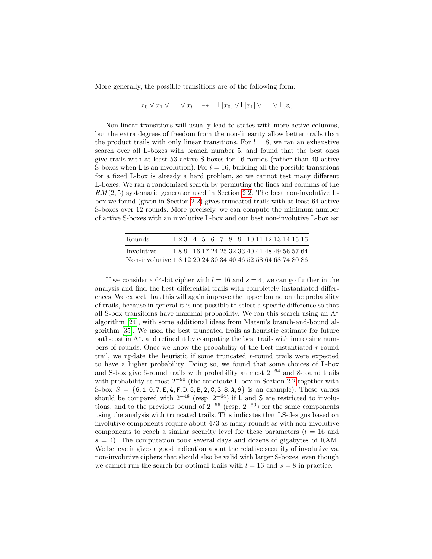More generally, the possible transitions are of the following form:

$$
x_0 \vee x_1 \vee \ldots \vee x_l \quad \leadsto \quad \mathsf{L}[x_0] \vee \mathsf{L}[x_1] \vee \ldots \vee \mathsf{L}[x_l]
$$

Non-linear transitions will usually lead to states with more active columns, but the extra degrees of freedom from the non-linearity allow better trails than the product trails with only linear transitions. For  $l = 8$ , we ran an exhaustive search over all L-boxes with branch number 5, and found that the best ones give trails with at least 53 active S-boxes for 16 rounds (rather than 40 active S-boxes when L is an involution). For  $l = 16$ , building all the possible transitions for a fixed L-box is already a hard problem, so we cannot test many different L-boxes. We ran a randomized search by permuting the lines and columns of the  $RM(2, 5)$  systematic generator used in Section [2.2.](#page-4-1) The best non-involutive Lbox we found (given in Section [2.2\)](#page-4-1) gives truncated trails with at least 64 active S-boxes over 12 rounds. More precisely, we can compute the minimum number of active S-boxes with an involutive L-box and our best non-involutive L-box as:

| <b>Rounds</b>                                                |  | 1 2 3 4 5 6 7 8 9 10 11 12 13 14 15 16     |  |  |  |  |  |  |  |
|--------------------------------------------------------------|--|--------------------------------------------|--|--|--|--|--|--|--|
| Involutive                                                   |  | 189 16 17 24 25 32 33 40 41 48 49 56 57 64 |  |  |  |  |  |  |  |
| Non-involutive 1 8 12 20 24 30 34 40 46 52 58 64 68 74 80 86 |  |                                            |  |  |  |  |  |  |  |

If we consider a 64-bit cipher with  $l = 16$  and  $s = 4$ , we can go further in the analysis and find the best differential trails with completely instantiated differences. We expect that this will again improve the upper bound on the probability of trails, because in general it is not possible to select a specific difference so that all S-box transitions have maximal probability. We ran this search using an A<sup>∗</sup> algorithm [\[24\]](#page-16-9), with some additional ideas from Matsui's branch-and-bound algorithm [\[35\]](#page-17-6). We used the best truncated trails as heuristic estimate for future path-cost in  $A^*$ , and refined it by computing the best trails with increasing numbers of rounds. Once we know the probability of the best instantiated  $r$ -round trail, we update the heuristic if some truncated  $r$ -round trails were expected to have a higher probability. Doing so, we found that some choices of L-box and S-box give 6-round trails with probability at most  $2^{-64}$  and 8-round trails with probability at most 2−<sup>90</sup> (the candidate L-box in Section [2.2](#page-4-1) together with S-box  $S = \{6, 1, 0, 7, E, 4, F, D, 5, B, 2, C, 3, 8, A, 9\}$  is an example). These values should be compared with  $2^{-48}$  (resp.  $2^{-64}$ ) if L and S are restricted to involutions, and to the previous bound of  $2^{-56}$  (resp.  $2^{-80}$ ) for the same components using the analysis with truncated trails. This indicates that LS-designs based on involutive components require about 4/3 as many rounds as with non-involutive components to reach a similar security level for these parameters  $(l = 16$  and  $s = 4$ ). The computation took several days and dozens of gigabytes of RAM. We believe it gives a good indication about the relative security of involutive vs. non-involutive ciphers that should also be valid with larger S-boxes, even though we cannot run the search for optimal trails with  $l = 16$  and  $s = 8$  in practice.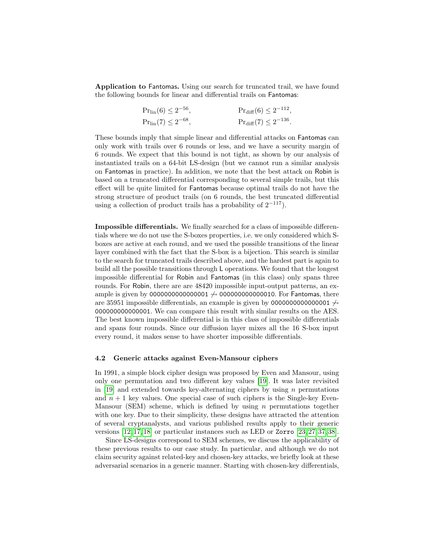Application to Fantomas. Using our search for truncated trail, we have found the following bounds for linear and differential trails on Fantomas:

| $Pr_{\text{lin}}(6) \leq 2^{-56}$ , | $Pr_{diff}(6) \leq 2^{-112}$ , |
|-------------------------------------|--------------------------------|
| $Pr_{\text{lin}}(7) \leq 2^{-68}$ , | $Pr_{diff}(7) \leq 2^{-136}$ . |

These bounds imply that simple linear and differential attacks on Fantomas can only work with trails over 6 rounds or less, and we have a security margin of 6 rounds. We expect that this bound is not tight, as shown by our analysis of instantiated trails on a 64-bit LS-design (but we cannot run a similar analysis on Fantomas in practice). In addition, we note that the best attack on Robin is based on a truncated differential corresponding to several simple trails, but this effect will be quite limited for Fantomas because optimal trails do not have the strong structure of product trails (on 6 rounds, the best truncated differential using a collection of product trails has a probability of  $2^{-117}$ ).

Impossible differentials. We finally searched for a class of impossible differentials where we do not use the S-boxes properties, i.e. we only considered which Sboxes are active at each round, and we used the possible transitions of the linear layer combined with the fact that the S-box is a bijection. This search is similar to the search for truncated trails described above, and the hardest part is again to build all the possible transitions through L operations. We found that the longest impossible differential for Robin and Fantomas (in this class) only spans three rounds. For Robin, there are are 48420 impossible input-output patterns, an example is given by 0000000000000001  $\leftrightarrow$  000000000000010. For Fantomas, there are 35951 impossible differentials, an example is given by <sup>0000000000000001</sup> <sup>6</sup> 000000000000001. We can compare this result with similar results on the AES. The best known impossible differential is in this class of impossible differentials and spans four rounds. Since our diffusion layer mixes all the 16 S-box input every round, it makes sense to have shorter impossible differentials.

#### 4.2 Generic attacks against Even-Mansour ciphers

In 1991, a simple block cipher design was proposed by Even and Mansour, using only one permutation and two different key values [\[19\]](#page-16-10). It was later revisited in [\[19\]](#page-16-10) and extended towards key-alternating ciphers by using  $n$  permutations and  $n + 1$  key values. One special case of such ciphers is the Single-key Even-Mansour (SEM) scheme, which is defined by using  $n$  permutations together with one key. Due to their simplicity, these designs have attracted the attention of several cryptanalysts, and various published results apply to their generic versions [\[12,](#page-16-11) [17,](#page-16-12) [18\]](#page-16-13) or particular instances such as LED or Zorro [\[23,](#page-16-14) [27,](#page-17-7) [37,](#page-17-8) [38\]](#page-17-9).

Since LS-designs correspond to SEM schemes, we discuss the applicability of these previous results to our case study. In particular, and although we do not claim security against related-key and chosen-key attacks, we briefly look at these adversarial scenarios in a generic manner. Starting with chosen-key differentials,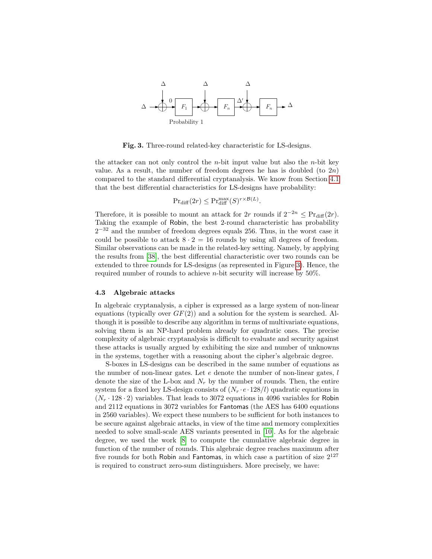

<span id="page-12-0"></span>Fig. 3. Three-round related-key characteristic for LS-designs.

the attacker can not only control the *n*-bit input value but also the *n*-bit key value. As a result, the number of freedom degrees he has is doubled (to  $2n$ ) compared to the standard differential cryptanalysis. We know from Section [4.1](#page-8-1) that the best differential characteristics for LS-designs have probability:

$$
\Pr_{\text{diff}}(2r) \le \Pr_{\text{diff}}^{\max}(S)^{r \times \mathcal{B}(L)}
$$

.

Therefore, it is possible to mount an attack for 2r rounds if  $2^{-2n} \leq Pr_{diff}(2r)$ . Taking the example of Robin, the best 2-round characteristic has probability  $2^{-32}$  and the number of freedom degrees equals 256. Thus, in the worst case it could be possible to attack  $8 \cdot 2 = 16$  rounds by using all degrees of freedom. Similar observations can be made in the related-key setting. Namely, by applying the results from [\[38\]](#page-17-9), the best differential characteristic over two rounds can be extended to three rounds for LS-designs (as represented in Figure [3\)](#page-12-0). Hence, the required number of rounds to achieve n-bit security will increase by 50%.

#### 4.3 Algebraic attacks

In algebraic cryptanalysis, a cipher is expressed as a large system of non-linear equations (typically over  $GF(2)$ ) and a solution for the system is searched. Although it is possible to describe any algorithm in terms of multivariate equations, solving them is an NP-hard problem already for quadratic ones. The precise complexity of algebraic cryptanalysis is difficult to evaluate and security against these attacks is usually argued by exhibiting the size and number of unknowns in the systems, together with a reasoning about the cipher's algebraic degree.

S-boxes in LS-designs can be described in the same number of equations as the number of non-linear gates. Let  $e$  denote the number of non-linear gates,  $l$ denote the size of the L-box and  $N_r$  by the number of rounds. Then, the entire system for a fixed key LS-design consists of  $(N_r \cdot e \cdot 128/l)$  quadratic equations in  $(N_r \cdot 128 \cdot 2)$  variables. That leads to 3072 equations in 4096 variables for Robin and 2112 equations in 3072 variables for Fantomas (the AES has 6400 equations in 2560 variables). We expect these numbers to be sufficient for both instances to be secure against algebraic attacks, in view of the time and memory complexities needed to solve small-scale AES variants presented in [\[10\]](#page-16-15). As for the algebraic degree, we used the work [\[8\]](#page-16-16) to compute the cumulative algebraic degree in function of the number of rounds. This algebraic degree reaches maximum after five rounds for both Robin and Fantomas, in which case a partition of size  $2^{127}$ is required to construct zero-sum distinguishers. More precisely, we have: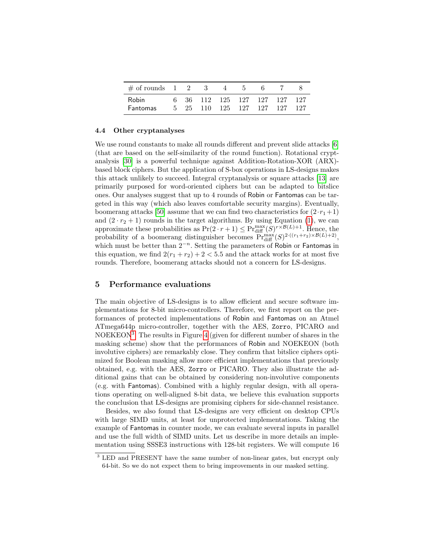| $\#$ of rounds 1 2 3     |  | $\sim$ 4 |                                                        |  |       |
|--------------------------|--|----------|--------------------------------------------------------|--|-------|
| Robin<br><b>Fantomas</b> |  |          | 6 36 112 125 127 127 127 127<br>25 110 125 127 127 127 |  | - 127 |

#### 4.4 Other cryptanalyses

We use round constants to make all rounds different and prevent slide attacks [\[6\]](#page-16-17) (that are based on the self-similarity of the round function). Rotational cryptanalysis [\[30\]](#page-17-10) is a powerful technique against Addition-Rotation-XOR (ARX) based block ciphers. But the application of S-box operations in LS-designs makes this attack unlikely to succeed. Integral cryptanalysis or square attacks [\[13\]](#page-16-18) are primarily purposed for word-oriented ciphers but can be adapted to bitslice ones. Our analyses suggest that up to 4 rounds of Robin or Fantomas can be targeted in this way (which also leaves comfortable security margins). Eventually, boomerang attacks [\[50\]](#page-18-8) assume that we can find two characteristics for  $(2\cdot r_1+1)$ and  $(2 \cdot r_2 + 1)$  rounds in the target algorithms. By using Equation [\(1\)](#page-8-0), we can approximate these probabilities as  $Pr(2 \cdot r + 1) \leq Pr_{diff}^{\max}(S)^{r \times \mathcal{B}(L)+1}$ . Hence, the probability of a boomerang distinguisher becomes  $Pr_{diff}^{max}(S)^{2 \cdot ((r_1+r_2) \times B(L)+2)}$ , which must be better than  $2^{-n}$ . Setting the parameters of Robin or Fantomas in this equation, we find  $2(r_1 + r_2) + 2 < 5.5$  and the attack works for at most five rounds. Therefore, boomerang attacks should not a concern for LS-designs.

### 5 Performance evaluations

The main objective of LS-designs is to allow efficient and secure software implementations for 8-bit micro-controllers. Therefore, we first report on the performances of protected implementations of Robin and Fantomas on an Atmel ATmega644p micro-controller, together with the AES, Zorro, PICARO and NOEKEON<sup>[3](#page-13-0)</sup>. The results in Figure [4](#page-14-0) (given for different number of shares in the masking scheme) show that the performances of Robin and NOEKEON (both involutive ciphers) are remarkably close. They confirm that bitslice ciphers optimized for Boolean masking allow more efficient implementations that previously obtained, e.g. with the AES, Zorro or PICARO. They also illustrate the additional gains that can be obtained by considering non-involutive components (e.g. with Fantomas). Combined with a highly regular design, with all operations operating on well-aligned 8-bit data, we believe this evaluation supports the conclusion that LS-designs are promising ciphers for side-channel resistance.

Besides, we also found that LS-designs are very efficient on desktop CPUs with large SIMD units, at least for unprotected implementations. Taking the example of Fantomas in counter mode, we can evaluate several inputs in parallel and use the full width of SIMD units. Let us describe in more details an implementation using SSSE3 instructions with 128-bit registers. We will compute 16

<span id="page-13-0"></span><sup>&</sup>lt;sup>3</sup> LED and PRESENT have the same number of non-linear gates, but encrypt only 64-bit. So we do not expect them to bring improvements in our masked setting.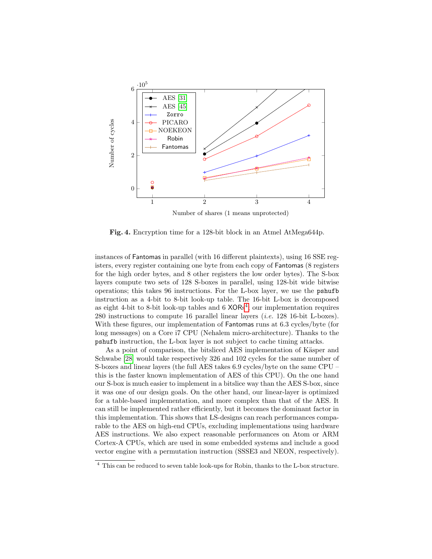

<span id="page-14-0"></span>Fig. 4. Encryption time for a 128-bit block in an Atmel AtMega644p.

instances of Fantomas in parallel (with 16 different plaintexts), using 16 SSE registers, every register containing one byte from each copy of Fantomas (8 registers for the high order bytes, and 8 other registers the low order bytes). The S-box layers compute two sets of 128 S-boxes in parallel, using 128-bit wide bitwise operations; this takes 96 instructions. For the L-box layer, we use the pshufb instruction as a 4-bit to 8-bit look-up table. The 16-bit L-box is decomposed as eight [4](#page-14-1)-bit to 8-bit look-up tables and  $6 \times ORs<sup>4</sup>$ ; our implementation requires 280 instructions to compute 16 parallel linear layers (i.e. 128 16-bit L-boxes). With these figures, our implementation of Fantomas runs at 6.3 cycles/byte (for long messages) on a Core i7 CPU (Nehalem micro-architecture). Thanks to the pshufb instruction, the L-box layer is not subject to cache timing attacks.

As a point of comparison, the bitsliced AES implementation of Käsper and Schwabe [\[28\]](#page-17-12) would take respectively 326 and 102 cycles for the same number of S-boxes and linear layers (the full AES takes 6.9 cycles/byte on the same CPU – this is the faster known implementation of AES of this CPU). On the one hand our S-box is much easier to implement in a bitslice way than the AES S-box, since it was one of our design goals. On the other hand, our linear-layer is optimized for a table-based implementation, and more complex than that of the AES. It can still be implemented rather efficiently, but it becomes the dominant factor in this implementation. This shows that LS-designs can reach performances comparable to the AES on high-end CPUs, excluding implementations using hardware AES instructions. We also expect reasonable performances on Atom or ARM Cortex-A CPUs, which are used in some embedded systems and include a good vector engine with a permutation instruction (SSSE3 and NEON, respectively).

<span id="page-14-1"></span><sup>4</sup> This can be reduced to seven table look-ups for Robin, thanks to the L-box structure.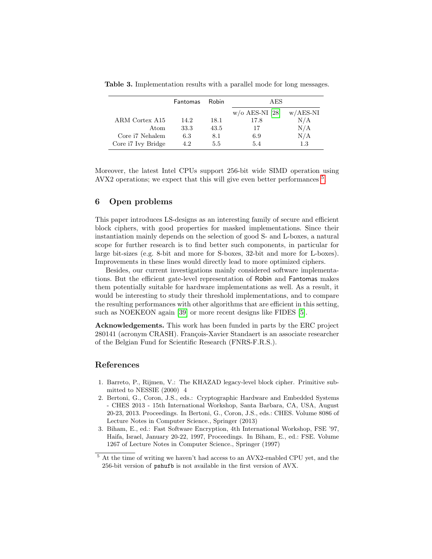|                    | <b>Fantomas</b> | Robin   | AES                |            |
|--------------------|-----------------|---------|--------------------|------------|
|                    |                 |         | $w$ /o AES-NI [28] | $w/AES-NI$ |
| ARM Cortex A15     | 14.2            | 18.1    | 17.8               | N/A        |
| Atom               | 33.3            | 43.5    | 17                 | N/A        |
| Core i7 Nehalem    | 6.3             | 8.1     | 6.9                | N/A        |
| Core i7 Ivy Bridge | 4.2             | $5.5\,$ | 5.4                | $1.3\,$    |

Table 3. Implementation results with a parallel mode for long messages.

Moreover, the latest Intel CPUs support 256-bit wide SIMD operation using AVX2 operations; we expect that this will give even better performances  $^5$  $^5$ .

# 6 Open problems

This paper introduces LS-designs as an interesting family of secure and efficient block ciphers, with good properties for masked implementations. Since their instantiation mainly depends on the selection of good S- and L-boxes, a natural scope for further research is to find better such components, in particular for large bit-sizes (e.g. 8-bit and more for S-boxes, 32-bit and more for L-boxes). Improvements in these lines would directly lead to more optimized ciphers.

Besides, our current investigations mainly considered software implementations. But the efficient gate-level representation of Robin and Fantomas makes them potentially suitable for hardware implementations as well. As a result, it would be interesting to study their threshold implementations, and to compare the resulting performances with other algorithms that are efficient in this setting, such as NOEKEON again [\[39\]](#page-17-13) or more recent designs like FIDES [\[5\]](#page-16-19).

Acknowledgements. This work has been funded in parts by the ERC project 280141 (acronym CRASH). François-Xavier Standaert is an associate researcher of the Belgian Fund for Scientific Research (FNRS-F.R.S.).

## References

- <span id="page-15-0"></span>1. Barreto, P., Rijmen, V.: The KHAZAD legacy-level block cipher. Primitive submitted to NESSIE (2000) 4
- <span id="page-15-2"></span>2. Bertoni, G., Coron, J.S., eds.: Cryptographic Hardware and Embedded Systems - CHES 2013 - 15th International Workshop, Santa Barbara, CA, USA, August 20-23, 2013. Proceedings. In Bertoni, G., Coron, J.S., eds.: CHES. Volume 8086 of Lecture Notes in Computer Science., Springer (2013)
- <span id="page-15-3"></span>3. Biham, E., ed.: Fast Software Encryption, 4th International Workshop, FSE '97, Haifa, Israel, January 20-22, 1997, Proceedings. In Biham, E., ed.: FSE. Volume 1267 of Lecture Notes in Computer Science., Springer (1997)

<span id="page-15-1"></span> $5$  At the time of writing we haven't had access to an AVX2-enabled CPU yet, and the 256-bit version of pshufb is not available in the first version of AVX.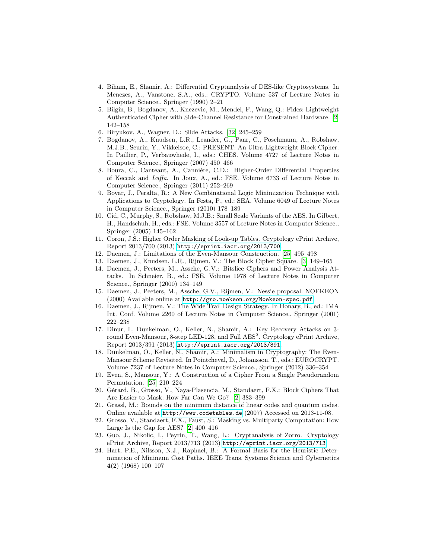- <span id="page-16-20"></span>4. Biham, E., Shamir, A.: Differential Cryptanalysis of DES-like Cryptosystems. In Menezes, A., Vanstone, S.A., eds.: CRYPTO. Volume 537 of Lecture Notes in Computer Science., Springer (1990) 2–21
- <span id="page-16-19"></span>5. Bilgin, B., Bogdanov, A., Knezevic, M., Mendel, F., Wang, Q.: Fides: Lightweight Authenticated Cipher with Side-Channel Resistance for Constrained Hardware. [\[2\]](#page-15-2) 142–158
- <span id="page-16-17"></span>6. Biryukov, A., Wagner, D.: Slide Attacks. [\[32\]](#page-17-14) 245–259
- <span id="page-16-1"></span>7. Bogdanov, A., Knudsen, L.R., Leander, G., Paar, C., Poschmann, A., Robshaw, M.J.B., Seurin, Y., Vikkelsoe, C.: PRESENT: An Ultra-Lightweight Block Cipher. In Paillier, P., Verbauwhede, I., eds.: CHES. Volume 4727 of Lecture Notes in Computer Science., Springer (2007) 450–466
- <span id="page-16-16"></span>8. Boura, C., Canteaut, A., Cannière, C.D.: Higher-Order Differential Properties of Keccak and Luffa. In Joux, A., ed.: FSE. Volume 6733 of Lecture Notes in Computer Science., Springer (2011) 252–269
- <span id="page-16-7"></span>9. Boyar, J., Peralta, R.: A New Combinational Logic Minimization Technique with Applications to Cryptology. In Festa, P., ed.: SEA. Volume 6049 of Lecture Notes in Computer Science., Springer (2010) 178–189
- <span id="page-16-15"></span>10. Cid, C., Murphy, S., Robshaw, M.J.B.: Small Scale Variants of the AES. In Gilbert, H., Handschuh, H., eds.: FSE. Volume 3557 of Lecture Notes in Computer Science., Springer (2005) 145–162
- <span id="page-16-4"></span>11. Coron, J.S.: Higher Order Masking of Look-up Tables. Cryptology ePrint Archive, Report 2013/700 (2013) <http://eprint.iacr.org/2013/700>.
- <span id="page-16-11"></span>12. Daemen, J.: Limitations of the Even-Mansour Construction. [\[25\]](#page-17-15) 495–498
- <span id="page-16-18"></span>13. Daemen, J., Knudsen, L.R., Rijmen, V.: The Block Cipher Square. [\[3\]](#page-15-3) 149–165
- <span id="page-16-5"></span>14. Daemen, J., Peeters, M., Assche, G.V.: Bitslice Ciphers and Power Analysis Attacks. In Schneier, B., ed.: FSE. Volume 1978 of Lecture Notes in Computer Science., Springer (2000) 134–149
- <span id="page-16-2"></span>15. Daemen, J., Peeters, M., Assche, G.V., Rijmen, V.: Nessie proposal: NOEKEON (2000) Available online at <http://gro.noekeon.org/Noekeon-spec.pdf>.
- <span id="page-16-3"></span>16. Daemen, J., Rijmen, V.: The Wide Trail Design Strategy. In Honary, B., ed.: IMA Int. Conf. Volume 2260 of Lecture Notes in Computer Science., Springer (2001) 222–238
- <span id="page-16-12"></span>17. Dinur, I., Dunkelman, O., Keller, N., Shamir, A.: Key Recovery Attacks on 3 round Even-Mansour, 8-step LED-128, and Full AES<sup>2</sup>. Cryptology ePrint Archive, Report 2013/391 (2013) <http://eprint.iacr.org/2013/391>.
- <span id="page-16-13"></span>18. Dunkelman, O., Keller, N., Shamir, A.: Minimalism in Cryptography: The Even-Mansour Scheme Revisited. In Pointcheval, D., Johansson, T., eds.: EUROCRYPT. Volume 7237 of Lecture Notes in Computer Science., Springer (2012) 336–354
- <span id="page-16-10"></span>19. Even, S., Mansour, Y.: A Construction of a Cipher From a Single Pseudorandom Permutation. [\[25\]](#page-17-15) 210–224
- <span id="page-16-0"></span>20. Gérard, B., Grosso, V., Naya-Plasencia, M., Standaert, F.X.: Block Ciphers That Are Easier to Mask: How Far Can We Go? [\[2\]](#page-15-2) 383–399
- <span id="page-16-8"></span>21. Grassl, M.: Bounds on the minimum distance of linear codes and quantum codes. Online available at <http://www.codetables.de> (2007) Accessed on 2013-11-08.
- <span id="page-16-6"></span>22. Grosso, V., Standaert, F.X., Faust, S.: Masking vs. Multiparty Computation: How Large Is the Gap for AES? [\[2\]](#page-15-2) 400–416
- <span id="page-16-14"></span>23. Guo, J., Nikolic, I., Peyrin, T., Wang, L.: Cryptanalysis of Zorro. Cryptology ePrint Archive, Report 2013/713 (2013) <http://eprint.iacr.org/2013/713>.
- <span id="page-16-9"></span>24. Hart, P.E., Nilsson, N.J., Raphael, B.: A Formal Basis for the Heuristic Determination of Minimum Cost Paths. IEEE Trans. Systems Science and Cybernetics 4(2) (1968) 100–107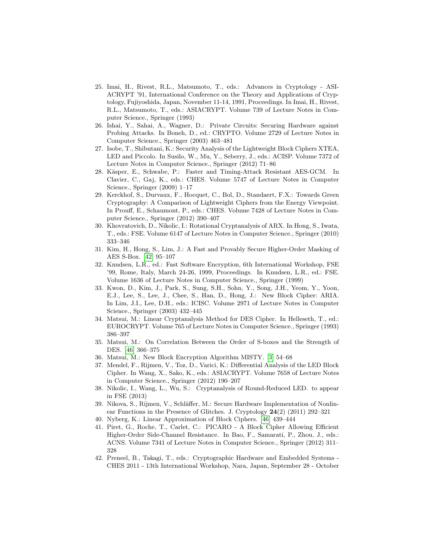- <span id="page-17-15"></span>25. Imai, H., Rivest, R.L., Matsumoto, T., eds.: Advances in Cryptology - ASI-ACRYPT '91, International Conference on the Theory and Applications of Cryptology, Fujiyoshida, Japan, November 11-14, 1991, Proceedings. In Imai, H., Rivest, R.L., Matsumoto, T., eds.: ASIACRYPT. Volume 739 of Lecture Notes in Computer Science., Springer (1993)
- <span id="page-17-2"></span>26. Ishai, Y., Sahai, A., Wagner, D.: Private Circuits: Securing Hardware against Probing Attacks. In Boneh, D., ed.: CRYPTO. Volume 2729 of Lecture Notes in Computer Science., Springer (2003) 463–481
- <span id="page-17-7"></span>27. Isobe, T., Shibutani, K.: Security Analysis of the Lightweight Block Ciphers XTEA, LED and Piccolo. In Susilo, W., Mu, Y., Seberry, J., eds.: ACISP. Volume 7372 of Lecture Notes in Computer Science., Springer (2012) 71–86
- <span id="page-17-12"></span>28. Käsper, E., Schwabe, P.: Faster and Timing-Attack Resistant AES-GCM. In Clavier, C., Gaj, K., eds.: CHES. Volume 5747 of Lecture Notes in Computer Science., Springer (2009) 1–17
- <span id="page-17-1"></span>29. Kerckhof, S., Durvaux, F., Hocquet, C., Bol, D., Standaert, F.X.: Towards Green Cryptography: A Comparison of Lightweight Ciphers from the Energy Viewpoint. In Prouff, E., Schaumont, P., eds.: CHES. Volume 7428 of Lecture Notes in Computer Science., Springer (2012) 390–407
- <span id="page-17-10"></span>30. Khovratovich, D., Nikolic, I.: Rotational Cryptanalysis of ARX. In Hong, S., Iwata, T., eds.: FSE. Volume 6147 of Lecture Notes in Computer Science., Springer (2010) 333–346
- <span id="page-17-11"></span>31. Kim, H., Hong, S., Lim, J.: A Fast and Provably Secure Higher-Order Masking of AES S-Box. [\[42\]](#page-17-16) 95–107
- <span id="page-17-14"></span>32. Knudsen, L.R., ed.: Fast Software Encryption, 6th International Workshop, FSE '99, Rome, Italy, March 24-26, 1999, Proceedings. In Knudsen, L.R., ed.: FSE. Volume 1636 of Lecture Notes in Computer Science., Springer (1999)
- <span id="page-17-5"></span>33. Kwon, D., Kim, J., Park, S., Sung, S.H., Sohn, Y., Song, J.H., Yeom, Y., Yoon, E.J., Lee, S., Lee, J., Chee, S., Han, D., Hong, J.: New Block Cipher: ARIA. In Lim, J.I., Lee, D.H., eds.: ICISC. Volume 2971 of Lecture Notes in Computer Science., Springer (2003) 432–445
- <span id="page-17-17"></span>34. Matsui, M.: Linear Cryptanalysis Method for DES Cipher. In Helleseth, T., ed.: EUROCRYPT. Volume 765 of Lecture Notes in Computer Science., Springer (1993) 386–397
- <span id="page-17-6"></span>35. Matsui, M.: On Correlation Between the Order of S-boxes and the Strength of DES. [\[46\]](#page-18-9) 366–375
- <span id="page-17-3"></span>36. Matsui, M.: New Block Encryption Algorithm MISTY. [\[3\]](#page-15-3) 54–68
- <span id="page-17-8"></span>37. Mendel, F., Rijmen, V., Toz, D., Varici, K.: Differential Analysis of the LED Block Cipher. In Wang, X., Sako, K., eds.: ASIACRYPT. Volume 7658 of Lecture Notes in Computer Science., Springer (2012) 190–207
- <span id="page-17-9"></span>38. Nikolic, I., Wang, L., Wu, S.: Cryptanalysis of Round-Reduced LED. to appear in FSE (2013)
- <span id="page-17-13"></span>39. Nikova, S., Rijmen, V., Schläffer, M.: Secure Hardware Implementation of Nonlinear Functions in the Presence of Glitches. J. Cryptology 24(2) (2011) 292–321
- <span id="page-17-4"></span>40. Nyberg, K.: Linear Approximation of Block Ciphers. [\[46\]](#page-18-9) 439–444
- <span id="page-17-0"></span>41. Piret, G., Roche, T., Carlet, C.: PICARO - A Block Cipher Allowing Efficient Higher-Order Side-Channel Resistance. In Bao, F., Samarati, P., Zhou, J., eds.: ACNS. Volume 7341 of Lecture Notes in Computer Science., Springer (2012) 311– 328
- <span id="page-17-16"></span>42. Preneel, B., Takagi, T., eds.: Cryptographic Hardware and Embedded Systems - CHES 2011 - 13th International Workshop, Nara, Japan, September 28 - October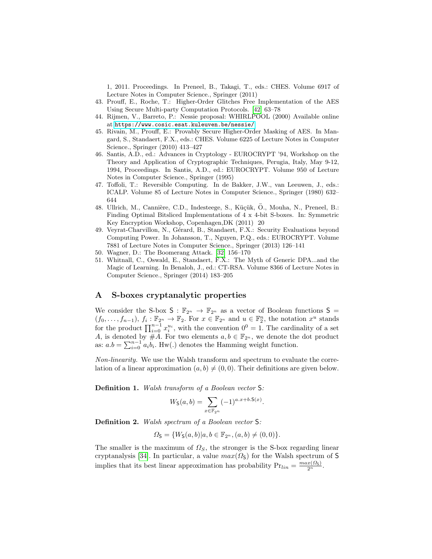1, 2011. Proceedings. In Preneel, B., Takagi, T., eds.: CHES. Volume 6917 of Lecture Notes in Computer Science., Springer (2011)

- <span id="page-18-2"></span>43. Prouff, E., Roche, T.: Higher-Order Glitches Free Implementation of the AES Using Secure Multi-party Computation Protocols. [\[42\]](#page-17-16) 63–78
- <span id="page-18-4"></span>44. Rijmen, V., Barreto, P.: Nessie proposal: WHIRLPOOL (2000) Available online at <https://www.cosic.esat.kuleuven.be/nessie/>.
- <span id="page-18-1"></span>45. Rivain, M., Prouff, E.: Provably Secure Higher-Order Masking of AES. In Mangard, S., Standaert, F.X., eds.: CHES. Volume 6225 of Lecture Notes in Computer Science., Springer (2010) 413–427
- <span id="page-18-9"></span>46. Santis, A.D., ed.: Advances in Cryptology - EUROCRYPT '94, Workshop on the Theory and Application of Cryptographic Techniques, Perugia, Italy, May 9-12, 1994, Proceedings. In Santis, A.D., ed.: EUROCRYPT. Volume 950 of Lecture Notes in Computer Science., Springer (1995)
- <span id="page-18-6"></span>47. Toffoli, T.: Reversible Computing. In de Bakker, J.W., van Leeuwen, J., eds.: ICALP. Volume 85 of Lecture Notes in Computer Science., Springer (1980) 632– 644
- <span id="page-18-5"></span>48. Ullrich, M., Cannière, C.D., Indesteege, S., Küçük, Ö., Mouha, N., Preneel, B.: Finding Optimal Bitsliced Implementations of 4 x 4-bit S-boxes. In: Symmetric Key Encryption Workshop, Copenhagen,DK (2011) 20
- <span id="page-18-7"></span>49. Veyrat-Charvillon, N., Gérard, B., Standaert, F.X.: Security Evaluations beyond Computing Power. In Johansson, T., Nguyen, P.Q., eds.: EUROCRYPT. Volume 7881 of Lecture Notes in Computer Science., Springer (2013) 126–141
- <span id="page-18-8"></span>50. Wagner, D.: The Boomerang Attack. [\[32\]](#page-17-14) 156–170
- <span id="page-18-0"></span>51. Whitnall, C., Oswald, E., Standaert, F.X.: The Myth of Generic DPA...and the Magic of Learning. In Benaloh, J., ed.: CT-RSA. Volume 8366 of Lecture Notes in Computer Science., Springer (2014) 183–205

## <span id="page-18-3"></span>A S-boxes cryptanalytic properties

We consider the S-box  $S : \mathbb{F}_{2^n} \to \mathbb{F}_{2^n}$  as a vector of Boolean functions  $S =$  $(f_0,\ldots,f_{n-1}),\ f_i:\mathbb{F}_{2^n}\to\mathbb{F}_2.$  For  $x\in\mathbb{F}_{2^n}$  and  $u\in\mathbb{F}_2^n$ , the notation  $x^u$  stands for the product  $\prod_{i=0}^{n-1} x_i^{u_i}$ , with the convention  $0^0 = 1$ . The cardinality of a set A, is denoted by  $\#A$ . For two elements  $a, b \in \mathbb{F}_{2^n}$ , we denote the dot product as:  $a.b = \sum_{i=0}^{n-1} a_i b_i$ . Hw(.) denotes the Hamming weight function.

Non-linearity. We use the Walsh transform and spectrum to evaluate the correlation of a linear approximation  $(a, b) \neq (0, 0)$ . Their definitions are given below.

Definition 1. Walsh transform of a Boolean vector S:

$$
W_{\mathsf{S}}(a,b) = \sum_{x \in \mathbb{F}_{2^n}} (-1)^{a.x + b.\mathsf{S}(x)}.
$$

Definition 2. Walsh spectrum of a Boolean vector S:

$$
\Omega_{\mathsf{S}} = \{W_{\mathsf{S}}(a,b) | a,b \in \mathbb{F}_{2^n}, (a,b) \neq (0,0)\}.
$$

The smaller is the maximum of  $\Omega<sub>S</sub>$ , the stronger is the S-box regarding linear cryptanalysis [\[34\]](#page-17-17). In particular, a value  $max(\Omega_{\mathsf{S}})$  for the Walsh spectrum of S implies that its best linear approximation has probability  $Pr_{lin} = \frac{max(\Omega_S)}{2^n}$ .